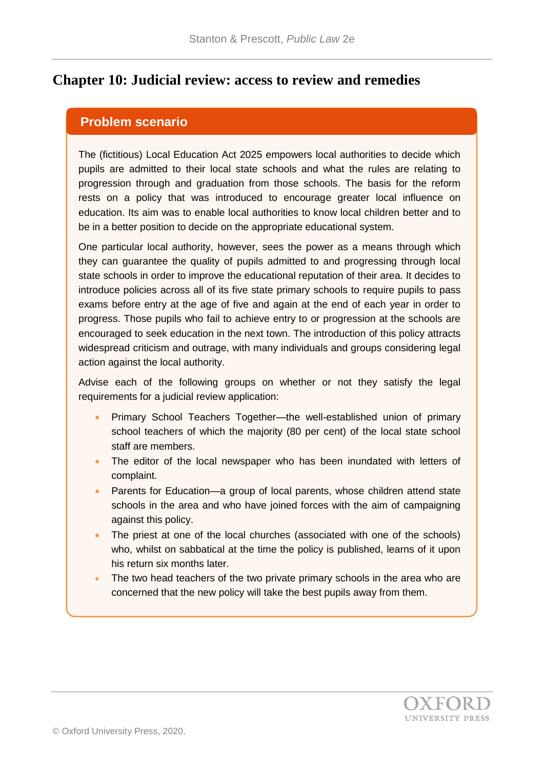### **Chapter 10: Judicial review: access to review and remedies**

#### **Problem scenario**

The (fictitious) Local Education Act 2025 empowers local authorities to decide which pupils are admitted to their local state schools and what the rules are relating to progression through and graduation from those schools. The basis for the reform rests on a policy that was introduced to encourage greater local influence on education. Its aim was to enable local authorities to know local children better and to be in a better position to decide on the appropriate educational system.

One particular local authority, however, sees the power as a means through which they can guarantee the quality of pupils admitted to and progressing through local state schools in order to improve the educational reputation of their area. It decides to introduce policies across all of its five state primary schools to require pupils to pass exams before entry at the age of five and again at the end of each year in order to progress. Those pupils who fail to achieve entry to or progression at the schools are encouraged to seek education in the next town. The introduction of this policy attracts widespread criticism and outrage, with many individuals and groups considering legal action against the local authority.

Advise each of the following groups on whether or not they satisfy the legal requirements for a judicial review application:

- Primary School Teachers Together—the well-established union of primary school teachers of which the majority (80 per cent) of the local state school staff are members.
- The editor of the local newspaper who has been inundated with letters of complaint.
- Parents for Education—a group of local parents, whose children attend state schools in the area and who have joined forces with the aim of campaigning against this policy.
- The priest at one of the local churches (associated with one of the schools) who, whilst on sabbatical at the time the policy is published, learns of it upon his return six months later.
- The two head teachers of the two private primary schools in the area who are concerned that the new policy will take the best pupils away from them.

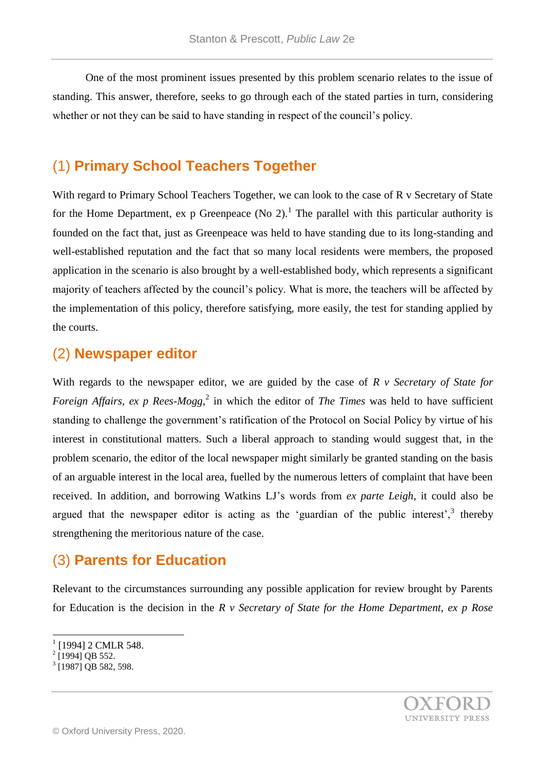One of the most prominent issues presented by this problem scenario relates to the issue of standing. This answer, therefore, seeks to go through each of the stated parties in turn, considering whether or not they can be said to have standing in respect of the council's policy.

### (1) **Primary School Teachers Together**

With regard to Primary School Teachers Together, we can look to the case of R v Secretary of State for the Home Department, ex p Greenpeace (No 2).<sup>1</sup> The parallel with this particular authority is founded on the fact that, just as Greenpeace was held to have standing due to its long-standing and well-established reputation and the fact that so many local residents were members, the proposed application in the scenario is also brought by a well-established body, which represents a significant majority of teachers affected by the council's policy. What is more, the teachers will be affected by the implementation of this policy, therefore satisfying, more easily, the test for standing applied by the courts.

### (2) **Newspaper editor**

With regards to the newspaper editor, we are guided by the case of *R v Secretary of State for Foreign Affairs, ex p Rees-Mogg*<sup>2</sup> in which the editor of *The Times* was held to have sufficient standing to challenge the government's ratification of the Protocol on Social Policy by virtue of his interest in constitutional matters. Such a liberal approach to standing would suggest that, in the problem scenario, the editor of the local newspaper might similarly be granted standing on the basis of an arguable interest in the local area, fuelled by the numerous letters of complaint that have been received. In addition, and borrowing Watkins LJ's words from *ex parte Leigh*, it could also be argued that the newspaper editor is acting as the 'guardian of the public interest', $3$  thereby strengthening the meritorious nature of the case.

# (3) **Parents for Education**

Relevant to the circumstances surrounding any possible application for review brought by Parents for Education is the decision in the *R v Secretary of State for the Home Department, ex p Rose* 

l



<sup>1</sup> [1994] 2 CMLR 548.

 $2$  [1994] QB 552.

<sup>&</sup>lt;sup>3</sup> [1987] QB 582, 598.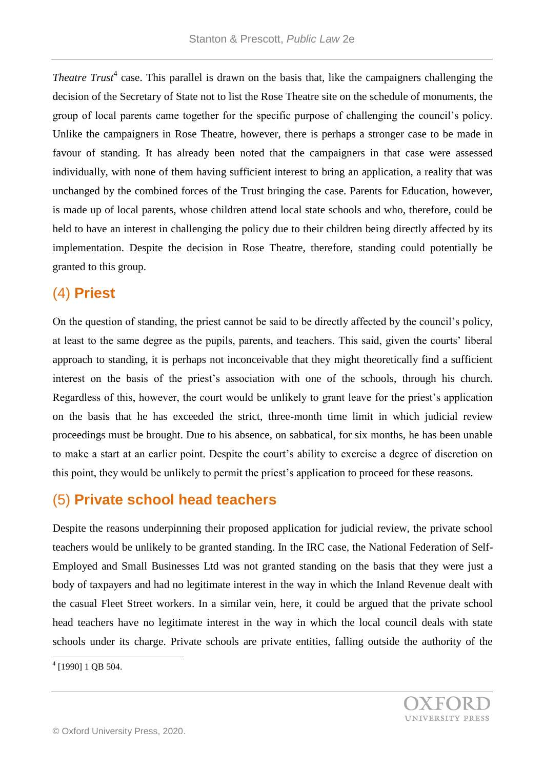*Theatre Trust<sup>4</sup>* case. This parallel is drawn on the basis that, like the campaigners challenging the decision of the Secretary of State not to list the Rose Theatre site on the schedule of monuments, the group of local parents came together for the specific purpose of challenging the council's policy. Unlike the campaigners in Rose Theatre, however, there is perhaps a stronger case to be made in favour of standing. It has already been noted that the campaigners in that case were assessed individually, with none of them having sufficient interest to bring an application, a reality that was unchanged by the combined forces of the Trust bringing the case. Parents for Education, however, is made up of local parents, whose children attend local state schools and who, therefore, could be held to have an interest in challenging the policy due to their children being directly affected by its implementation. Despite the decision in Rose Theatre, therefore, standing could potentially be granted to this group.

# (4) **Priest**

On the question of standing, the priest cannot be said to be directly affected by the council's policy, at least to the same degree as the pupils, parents, and teachers. This said, given the courts' liberal approach to standing, it is perhaps not inconceivable that they might theoretically find a sufficient interest on the basis of the priest's association with one of the schools, through his church. Regardless of this, however, the court would be unlikely to grant leave for the priest's application on the basis that he has exceeded the strict, three-month time limit in which judicial review proceedings must be brought. Due to his absence, on sabbatical, for six months, he has been unable to make a start at an earlier point. Despite the court's ability to exercise a degree of discretion on this point, they would be unlikely to permit the priest's application to proceed for these reasons.

# (5) **Private school head teachers**

Despite the reasons underpinning their proposed application for judicial review, the private school teachers would be unlikely to be granted standing. In the IRC case, the National Federation of Self-Employed and Small Businesses Ltd was not granted standing on the basis that they were just a body of taxpayers and had no legitimate interest in the way in which the Inland Revenue dealt with the casual Fleet Street workers. In a similar vein, here, it could be argued that the private school head teachers have no legitimate interest in the way in which the local council deals with state schools under its charge. Private schools are private entities, falling outside the authority of the

 4 [1990] 1 QB 504.